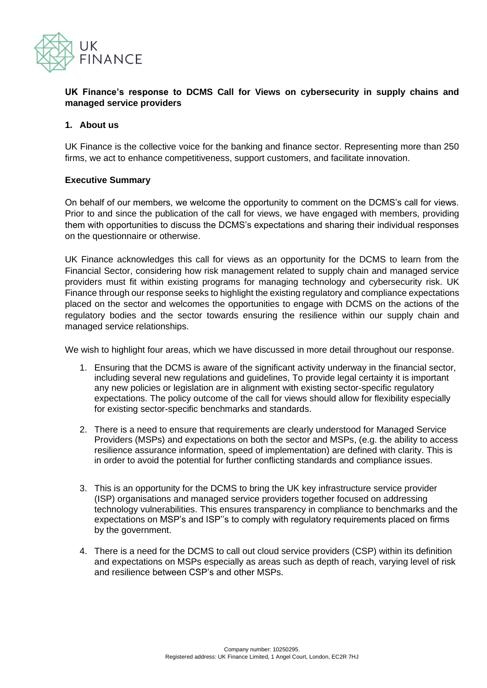

#### **UK Finance's response to DCMS Call for Views on cybersecurity in supply chains and managed service providers**

#### **1. About us**

UK Finance is the collective voice for the banking and finance sector. Representing more than 250 firms, we act to enhance competitiveness, support customers, and facilitate innovation.

#### **Executive Summary**

On behalf of our members, we welcome the opportunity to comment on the DCMS's call for views. Prior to and since the publication of the call for views, we have engaged with members, providing them with opportunities to discuss the DCMS's expectations and sharing their individual responses on the questionnaire or otherwise.

UK Finance acknowledges this call for views as an opportunity for the DCMS to learn from the Financial Sector, considering how risk management related to supply chain and managed service providers must fit within existing programs for managing technology and cybersecurity risk. UK Finance through our response seeks to highlight the existing regulatory and compliance expectations placed on the sector and welcomes the opportunities to engage with DCMS on the actions of the regulatory bodies and the sector towards ensuring the resilience within our supply chain and managed service relationships.

We wish to highlight four areas, which we have discussed in more detail throughout our response.

- 1. Ensuring that the DCMS is aware of the significant activity underway in the financial sector, including several new regulations and guidelines, To provide legal certainty it is important any new policies or legislation are in alignment with existing sector-specific regulatory expectations. The policy outcome of the call for views should allow for flexibility especially for existing sector-specific benchmarks and standards.
- 2. There is a need to ensure that requirements are clearly understood for Managed Service Providers (MSPs) and expectations on both the sector and MSPs, (e.g. the ability to access resilience assurance information, speed of implementation) are defined with clarity. This is in order to avoid the potential for further conflicting standards and compliance issues.
- 3. This is an opportunity for the DCMS to bring the UK key infrastructure service provider (ISP) organisations and managed service providers together focused on addressing technology vulnerabilities. This ensures transparency in compliance to benchmarks and the expectations on MSP's and ISP''s to comply with regulatory requirements placed on firms by the government.
- 4. There is a need for the DCMS to call out cloud service providers (CSP) within its definition and expectations on MSPs especially as areas such as depth of reach, varying level of risk and resilience between CSP's and other MSPs.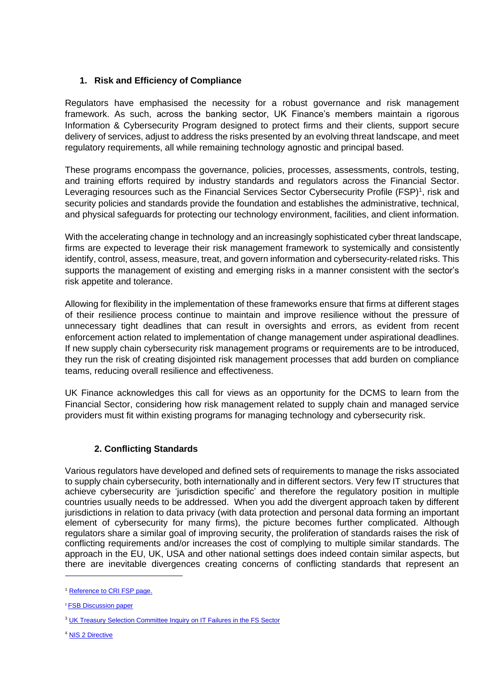# **1. Risk and Efficiency of Compliance**

Regulators have emphasised the necessity for a robust governance and risk management framework. As such, across the banking sector, UK Finance's members maintain a rigorous Information & Cybersecurity Program designed to protect firms and their clients, support secure delivery of services, adjust to address the risks presented by an evolving threat landscape, and meet regulatory requirements, all while remaining technology agnostic and principal based.

These programs encompass the governance, policies, processes, assessments, controls, testing, and training efforts required by industry standards and regulators across the Financial Sector. Leveraging resources such as the Financial Services Sector Cybersecurity Profile (FSP)<sup>1</sup>, risk and security policies and standards provide the foundation and establishes the administrative, technical, and physical safeguards for protecting our technology environment, facilities, and client information.

With the accelerating change in technology and an increasingly sophisticated cyber threat landscape, firms are expected to leverage their risk management framework to systemically and consistently identify, control, assess, measure, treat, and govern information and cybersecurity-related risks. This supports the management of existing and emerging risks in a manner consistent with the sector's risk appetite and tolerance.

Allowing for flexibility in the implementation of these frameworks ensure that firms at different stages of their resilience process continue to maintain and improve resilience without the pressure of unnecessary tight deadlines that can result in oversights and errors, as evident from recent enforcement action related to implementation of change management under aspirational deadlines. If new supply chain cybersecurity risk management programs or requirements are to be introduced, they run the risk of creating disjointed risk management processes that add burden on compliance teams, reducing overall resilience and effectiveness.

UK Finance acknowledges this call for views as an opportunity for the DCMS to learn from the Financial Sector, considering how risk management related to supply chain and managed service providers must fit within existing programs for managing technology and cybersecurity risk.

## **2. Conflicting Standards**

Various regulators have developed and defined sets of requirements to manage the risks associated to supply chain cybersecurity, both internationally and in different sectors. Very few IT structures that achieve cybersecurity are 'jurisdiction specific' and therefore the regulatory position in multiple countries usually needs to be addressed. When you add the divergent approach taken by different jurisdictions in relation to data privacy (with data protection and personal data forming an important element of cybersecurity for many firms), the picture becomes further complicated. Although regulators share a similar goal of improving security, the proliferation of standards raises the risk of conflicting requirements and/or increases the cost of complying to multiple similar standards. The approach in the EU, UK, USA and other national settings does indeed contain similar aspects, but there are inevitable divergences creating concerns of conflicting standards that represent an

<sup>1</sup> [Reference to CRI FSP page.](https://cyberriskinstitute.org/)

<sup>2</sup> [FSB Discussion paper](https://www.fsb.org/wp-content/uploads/P091120.pdf)

<sup>&</sup>lt;sup>3</sup> [UK Treasury Selection Committee Inquiry on IT Failures in the FS Sector](https://publications.parliament.uk/pa/cm201919/cmselect/cmtreasy/224/224.pdf)

<sup>4</sup> [NIS 2 Directive](https://digital-strategy.ec.europa.eu/en/library/revised-directive-security-network-and-information-systems-nis2)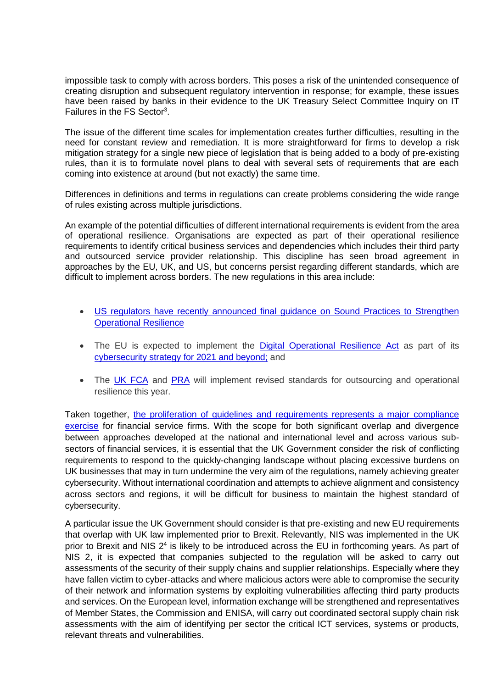impossible task to comply with across borders. This poses a risk of the unintended consequence of creating disruption and subsequent regulatory intervention in response; for example, these issues have been raised by banks in their evidence to the UK Treasury Select Committee Inquiry on IT Failures in the FS Sector<sup>3</sup>.

The issue of the different time scales for implementation creates further difficulties, resulting in the need for constant review and remediation. It is more straightforward for firms to develop a risk mitigation strategy for a single new piece of legislation that is being added to a body of pre-existing rules, than it is to formulate novel plans to deal with several sets of requirements that are each coming into existence at around (but not exactly) the same time.

Differences in definitions and terms in regulations can create problems considering the wide range of rules existing across multiple jurisdictions.

An example of the potential difficulties of different international requirements is evident from the area of operational resilience. Organisations are expected as part of their operational resilience requirements to identify critical business services and dependencies which includes their third party and outsourced service provider relationship. This discipline has seen broad agreement in approaches by the EU, UK, and US, but concerns persist regarding different standards, which are difficult to implement across borders. The new regulations in this area include:

- US regulators have recently announced final guidance on Sound Practices to Strengthen [Operational Resilience](https://www.federalreserve.gov/newsevents/pressreleases/files/bcreg20201030a1.pdf)
- The EU is expected to implement the [Digital Operational Resilience Act](https://www.freshfields.com/en-gb/our-thinking/knowledge/event/2021/03/digital-operational-resilience-in-the-financial-services-sector--insights-into-dora-11-march-2021-4410/) as part of its [cybersecurity strategy for 2021 and beyond;](https://digital.freshfields.com/post/102gopz/a-new-eu-cyber-security-strategy-for-2021-and-beyond) and
- The [UK FCA](https://www.fca.org.uk/publications/policy-statements/ps21-3-building-operational-resilience) and [PRA](https://www.bankofengland.co.uk/prudential-regulation/publication/2018/building-the-uk-financial-sectors-operational-resilience-discussion-paper) will implement revised standards for outsourcing and operational resilience this year.

Taken together, [the proliferation of guidelines and requirements represents a major compliance](https://riskandcompliance.freshfields.com/post/102gjuw/progress-is-impossible-without-change-operational-resilience-for-financial-se)  [exercise](https://riskandcompliance.freshfields.com/post/102gjuw/progress-is-impossible-without-change-operational-resilience-for-financial-se) for financial service firms. With the scope for both significant overlap and divergence between approaches developed at the national and international level and across various subsectors of financial services, it is essential that the UK Government consider the risk of conflicting requirements to respond to the quickly-changing landscape without placing excessive burdens on UK businesses that may in turn undermine the very aim of the regulations, namely achieving greater cybersecurity. Without international coordination and attempts to achieve alignment and consistency across sectors and regions, it will be difficult for business to maintain the highest standard of cybersecurity.

A particular issue the UK Government should consider is that pre-existing and new EU requirements that overlap with UK law implemented prior to Brexit. Relevantly, NIS was implemented in the UK prior to Brexit and NIS  $2<sup>4</sup>$  is likely to be introduced across the EU in forthcoming years. As part of NIS 2, it is expected that companies subjected to the regulation will be asked to carry out assessments of the security of their supply chains and supplier relationships. Especially where they have fallen victim to cyber-attacks and where malicious actors were able to compromise the security of their network and information systems by exploiting vulnerabilities affecting third party products and services. On the European level, information exchange will be strengthened and representatives of Member States, the Commission and ENISA, will carry out coordinated sectoral supply chain risk assessments with the aim of identifying per sector the critical ICT services, systems or products, relevant threats and vulnerabilities.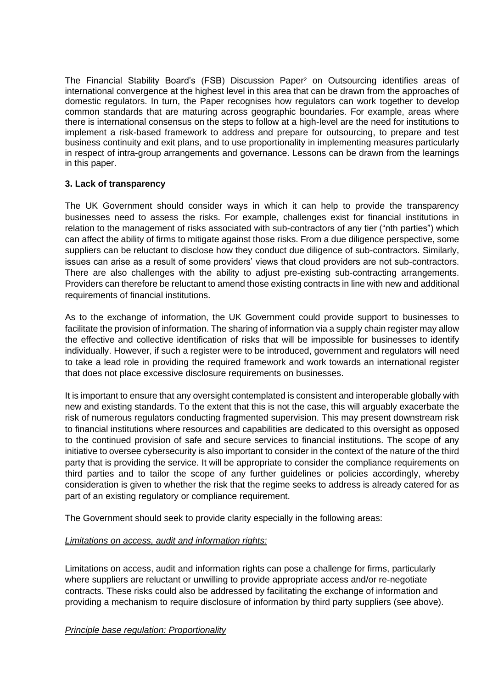The Financial Stability Board's (FSB) Discussion Paper<sup>2</sup> on Outsourcing identifies areas of international convergence at the highest level in this area that can be drawn from the approaches of domestic regulators. In turn, the Paper recognises how regulators can work together to develop common standards that are maturing across geographic boundaries. For example, areas where there is international consensus on the steps to follow at a high-level are the need for institutions to implement a risk-based framework to address and prepare for outsourcing, to prepare and test business continuity and exit plans, and to use proportionality in implementing measures particularly in respect of intra-group arrangements and governance. Lessons can be drawn from the learnings in this paper.

### **3. Lack of transparency**

The UK Government should consider ways in which it can help to provide the transparency businesses need to assess the risks. For example, challenges exist for financial institutions in relation to the management of risks associated with sub-contractors of any tier ("nth parties") which can affect the ability of firms to mitigate against those risks. From a due diligence perspective, some suppliers can be reluctant to disclose how they conduct due diligence of sub-contractors. Similarly, issues can arise as a result of some providers' views that cloud providers are not sub-contractors. There are also challenges with the ability to adjust pre-existing sub-contracting arrangements. Providers can therefore be reluctant to amend those existing contracts in line with new and additional requirements of financial institutions.

As to the exchange of information, the UK Government could provide support to businesses to facilitate the provision of information. The sharing of information via a supply chain register may allow the effective and collective identification of risks that will be impossible for businesses to identify individually. However, if such a register were to be introduced, government and regulators will need to take a lead role in providing the required framework and work towards an international register that does not place excessive disclosure requirements on businesses.

It is important to ensure that any oversight contemplated is consistent and interoperable globally with new and existing standards. To the extent that this is not the case, this will arguably exacerbate the risk of numerous regulators conducting fragmented supervision. This may present downstream risk to financial institutions where resources and capabilities are dedicated to this oversight as opposed to the continued provision of safe and secure services to financial institutions. The scope of any initiative to oversee cybersecurity is also important to consider in the context of the nature of the third party that is providing the service. It will be appropriate to consider the compliance requirements on third parties and to tailor the scope of any further guidelines or policies accordingly, whereby consideration is given to whether the risk that the regime seeks to address is already catered for as part of an existing regulatory or compliance requirement.

The Government should seek to provide clarity especially in the following areas:

## *Limitations on access, audit and information rights:*

Limitations on access, audit and information rights can pose a challenge for firms, particularly where suppliers are reluctant or unwilling to provide appropriate access and/or re-negotiate contracts. These risks could also be addressed by facilitating the exchange of information and providing a mechanism to require disclosure of information by third party suppliers (see above).

*Principle base regulation: Proportionality*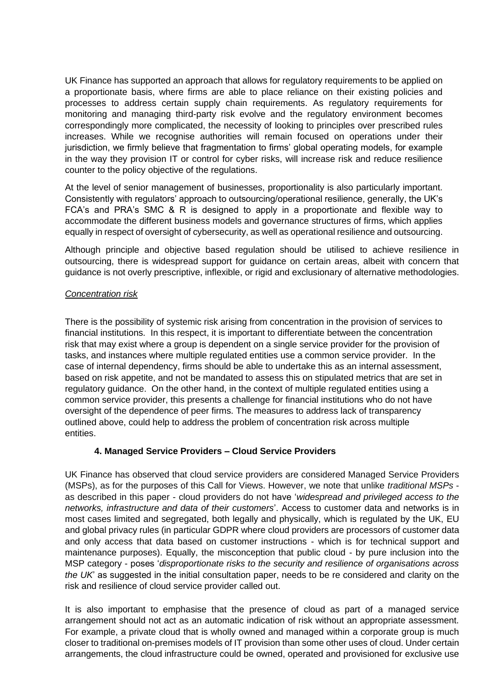UK Finance has supported an approach that allows for regulatory requirements to be applied on a proportionate basis, where firms are able to place reliance on their existing policies and processes to address certain supply chain requirements. As regulatory requirements for monitoring and managing third-party risk evolve and the regulatory environment becomes correspondingly more complicated, the necessity of looking to principles over prescribed rules increases. While we recognise authorities will remain focused on operations under their jurisdiction, we firmly believe that fragmentation to firms' global operating models, for example in the way they provision IT or control for cyber risks, will increase risk and reduce resilience counter to the policy objective of the regulations.

At the level of senior management of businesses, proportionality is also particularly important. Consistently with regulators' approach to outsourcing/operational resilience, generally, the UK's FCA's and PRA's SMC & R is designed to apply in a proportionate and flexible way to accommodate the different business models and governance structures of firms, which applies equally in respect of oversight of cybersecurity, as well as operational resilience and outsourcing.

Although principle and objective based regulation should be utilised to achieve resilience in outsourcing, there is widespread support for guidance on certain areas, albeit with concern that guidance is not overly prescriptive, inflexible, or rigid and exclusionary of alternative methodologies.

### *Concentration risk*

There is the possibility of systemic risk arising from concentration in the provision of services to financial institutions. In this respect, it is important to differentiate between the concentration risk that may exist where a group is dependent on a single service provider for the provision of tasks, and instances where multiple regulated entities use a common service provider. In the case of internal dependency, firms should be able to undertake this as an internal assessment, based on risk appetite, and not be mandated to assess this on stipulated metrics that are set in regulatory guidance. On the other hand, in the context of multiple regulated entities using a common service provider, this presents a challenge for financial institutions who do not have oversight of the dependence of peer firms. The measures to address lack of transparency outlined above, could help to address the problem of concentration risk across multiple entities.

## **4. Managed Service Providers – Cloud Service Providers**

UK Finance has observed that cloud service providers are considered Managed Service Providers (MSPs), as for the purposes of this Call for Views. However, we note that unlike *traditional MSPs*  as described in this paper - cloud providers do not have '*widespread and privileged access to the networks, infrastructure and data of their customers*'. Access to customer data and networks is in most cases limited and segregated, both legally and physically, which is regulated by the UK, EU and global privacy rules (in particular GDPR where cloud providers are processors of customer data and only access that data based on customer instructions - which is for technical support and maintenance purposes). Equally, the misconception that public cloud - by pure inclusion into the MSP category - poses '*disproportionate risks to the security and resilience of organisations across the UK*' as suggested in the initial consultation paper, needs to be re considered and clarity on the risk and resilience of cloud service provider called out.

It is also important to emphasise that the presence of cloud as part of a managed service arrangement should not act as an automatic indication of risk without an appropriate assessment. For example, a private cloud that is wholly owned and managed within a corporate group is much closer to traditional on-premises models of IT provision than some other uses of cloud. Under certain arrangements, the cloud infrastructure could be owned, operated and provisioned for exclusive use